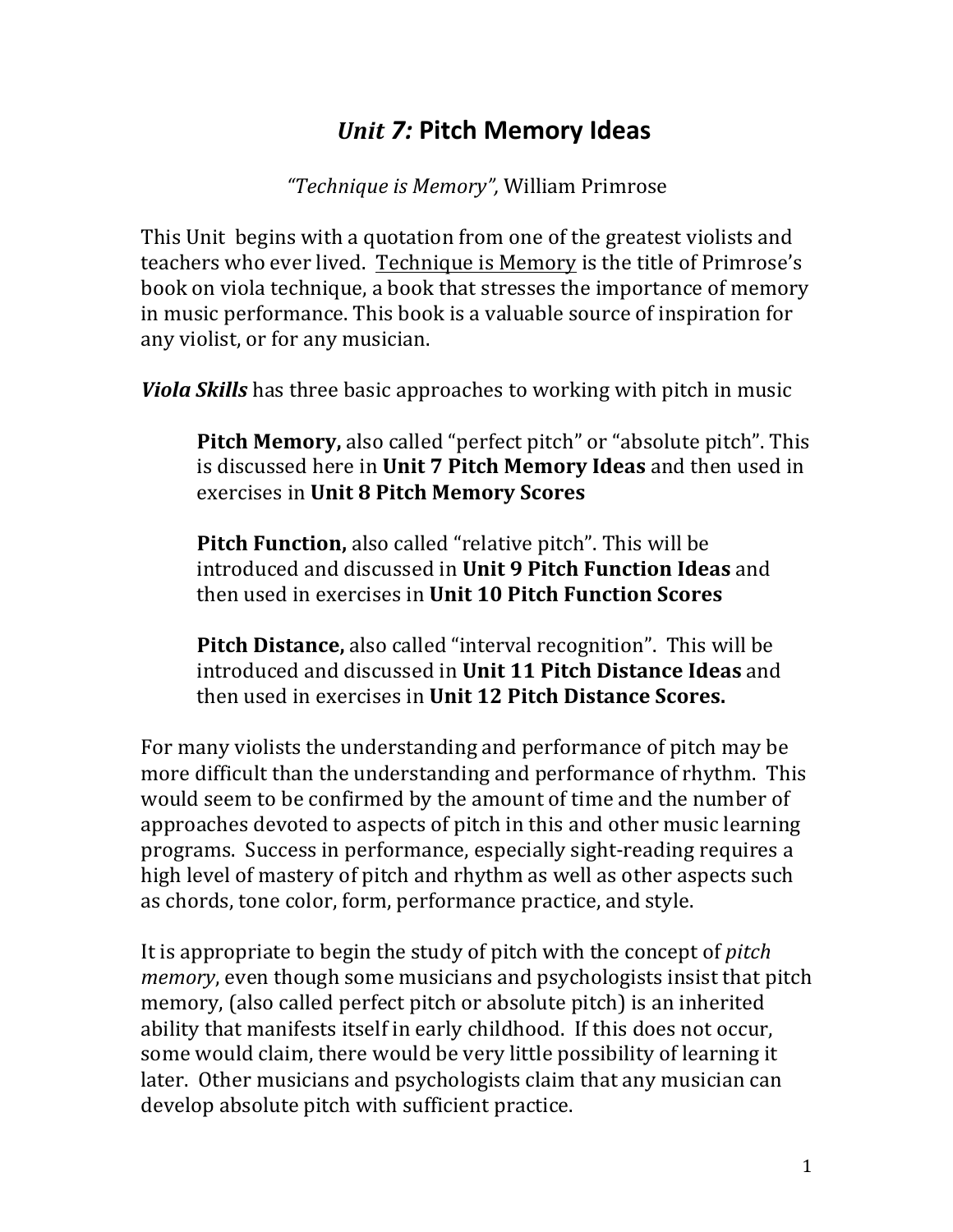# *Unit 7:* **Pitch Memory Ideas**

"Technique is Memory", William Primrose

This Unit begins with a quotation from one of the greatest violists and teachers who ever lived. Technique is Memory is the title of Primrose's book on viola technique, a book that stresses the importance of memory in music performance. This book is a valuable source of inspiration for any violist, or for any musician.

*Viola Skills* has three basic approaches to working with pitch in music

**Pitch Memory,** also called "perfect pitch" or "absolute pitch". This is discussed here in **Unit 7 Pitch Memory Ideas** and then used in exercises in **Unit 8 Pitch Memory Scores** 

**Pitch Function,** also called "relative pitch". This will be introduced and discussed in **Unit 9 Pitch Function Ideas** and then used in exercises in **Unit 10 Pitch Function Scores**

**Pitch Distance,** also called "interval recognition". This will be introduced and discussed in **Unit 11 Pitch Distance Ideas** and then used in exercises in **Unit 12 Pitch Distance Scores.** 

For many violists the understanding and performance of pitch may be more difficult than the understanding and performance of rhythm. This would seem to be confirmed by the amount of time and the number of approaches devoted to aspects of pitch in this and other music learning programs. Success in performance, especially sight-reading requires a high level of mastery of pitch and rhythm as well as other aspects such as chords, tone color, form, performance practice, and style.

It is appropriate to begin the study of pitch with the concept of *pitch memory*, even though some musicians and psychologists insist that pitch memory, (also called perfect pitch or absolute pitch) is an inherited ability that manifests itself in early childhood. If this does not occur, some would claim, there would be very little possibility of learning it later. Other musicians and psychologists claim that any musician can develop absolute pitch with sufficient practice.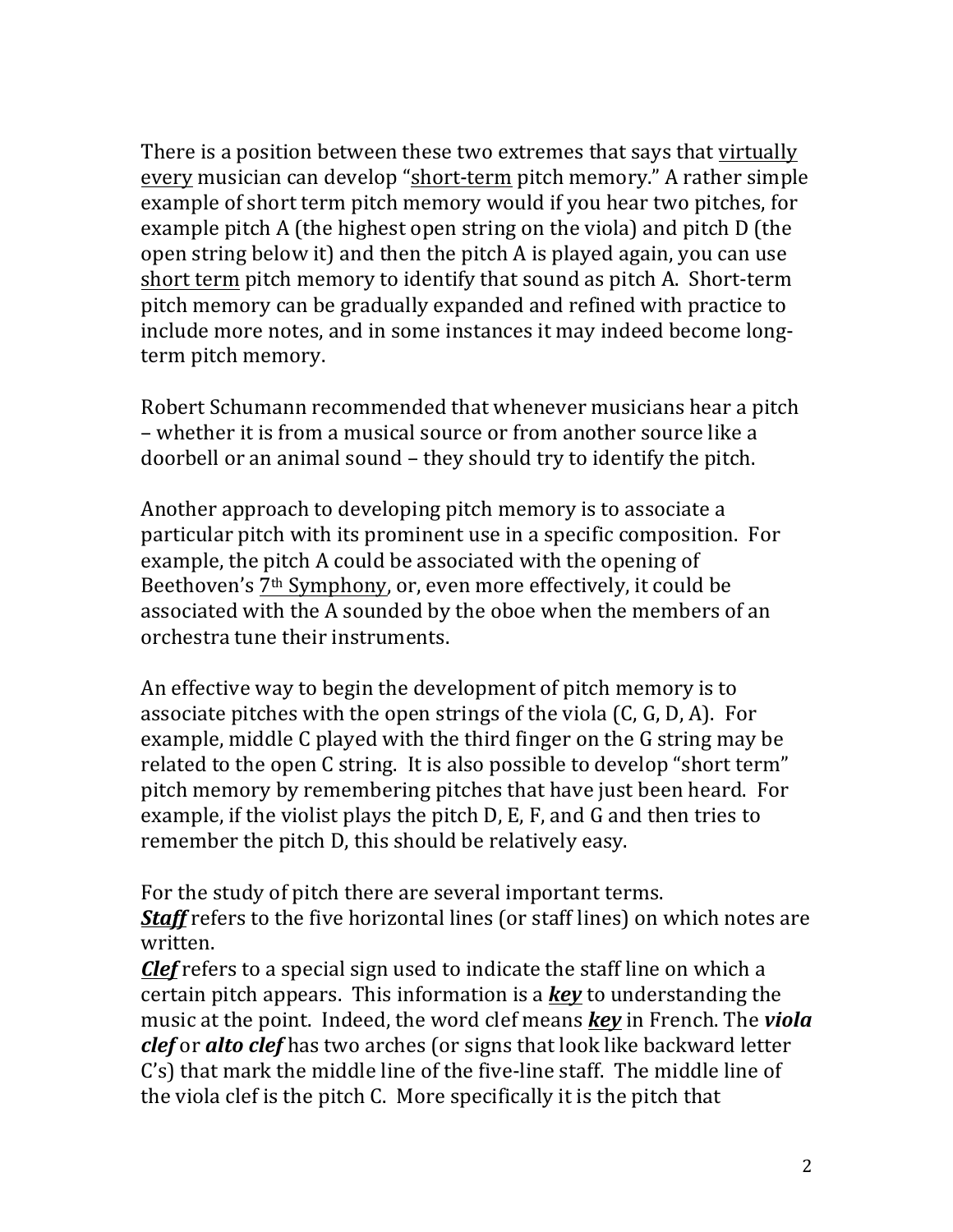There is a position between these two extremes that says that virtually every musician can develop "short-term pitch memory." A rather simple example of short term pitch memory would if you hear two pitches, for example pitch A (the highest open string on the viola) and pitch D (the open string below it) and then the pitch A is played again, you can use short term pitch memory to identify that sound as pitch A. Short-term pitch memory can be gradually expanded and refined with practice to include more notes, and in some instances it may indeed become longterm pitch memory.

Robert Schumann recommended that whenever musicians hear a pitch – whether it is from a musical source or from another source like a doorbell or an animal sound – they should try to identify the pitch.

Another approach to developing pitch memory is to associate a particular pitch with its prominent use in a specific composition. For example, the pitch A could be associated with the opening of Beethoven's 7<sup>th</sup> Symphony, or, even more effectively, it could be associated with the A sounded by the oboe when the members of an orchestra tune their instruments.

An effective way to begin the development of pitch memory is to associate pitches with the open strings of the viola  $(C, G, D, A)$ . For example, middle C played with the third finger on the G string may be related to the open C string. It is also possible to develop "short term" pitch memory by remembering pitches that have just been heard. For example, if the violist plays the pitch  $D$ ,  $E$ ,  $F$ , and  $G$  and then tries to remember the pitch D, this should be relatively easy.

For the study of pitch there are several important terms. *Staff* refers to the five horizontal lines (or staff lines) on which notes are written.

*Clef* refers to a special sign used to indicate the staff line on which a certain pitch appears. This information is a *key* to understanding the music at the point. Indeed, the word clef means *key* in French. The **viola** *clef* or **alto clef** has two arches (or signs that look like backward letter  $C's$ ) that mark the middle line of the five-line staff. The middle line of the viola clef is the pitch C. More specifically it is the pitch that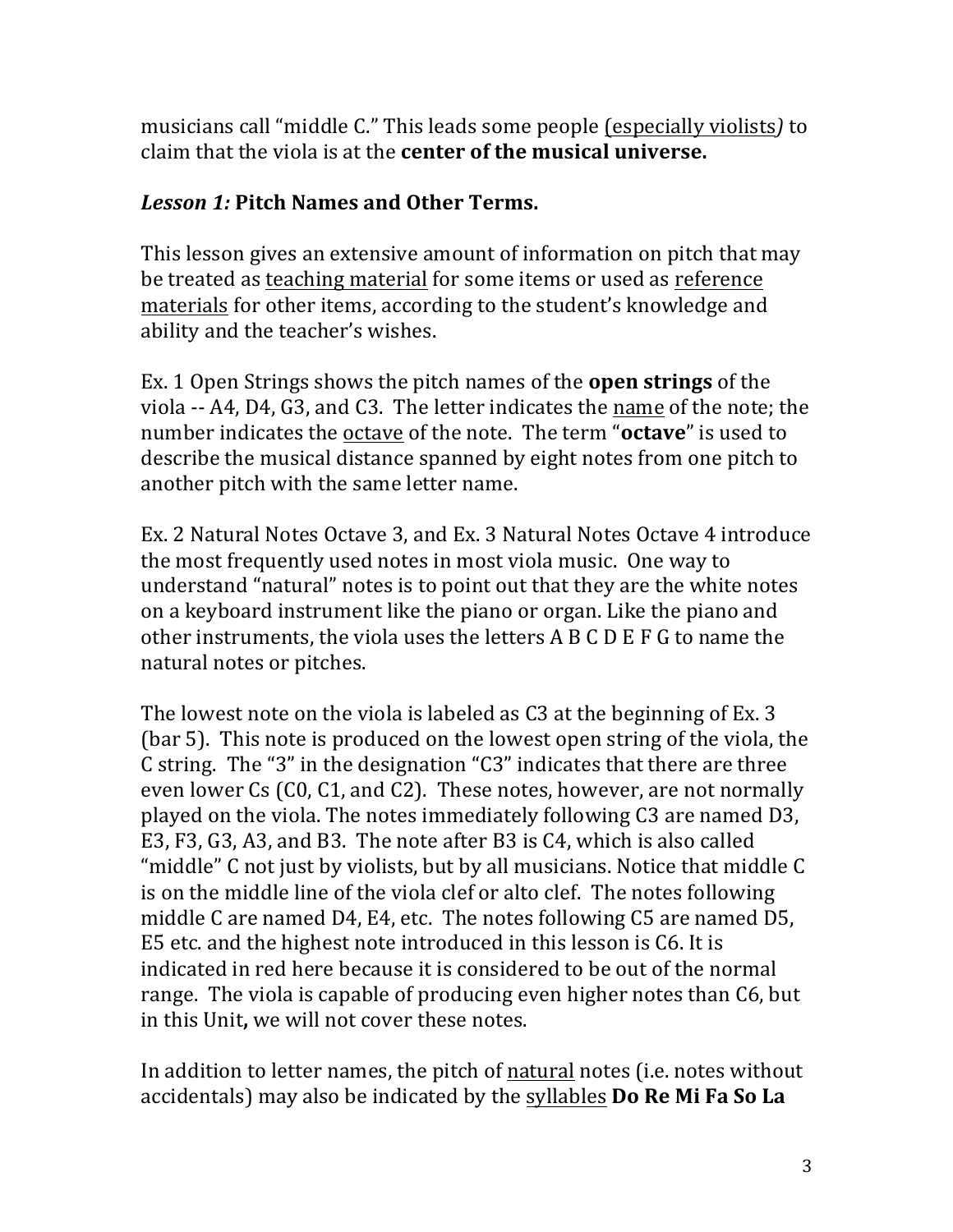musicians call "middle C." This leads some people (especially violists) to claim that the viola is at the **center of the musical universe.** 

# *Lesson 1:* **Pitch Names and Other Terms.**

This lesson gives an extensive amount of information on pitch that may be treated as teaching material for some items or used as reference materials for other items, according to the student's knowledge and ability and the teacher's wishes.

Ex. 1 Open Strings shows the pitch names of the **open strings** of the viola -- A4, D4, G3, and C3. The letter indicates the name of the note; the number indicates the octave of the note. The term "**octave**" is used to describe the musical distance spanned by eight notes from one pitch to another pitch with the same letter name.

Ex. 2 Natural Notes Octave 3, and Ex. 3 Natural Notes Octave 4 introduce the most frequently used notes in most viola music. One way to understand "natural" notes is to point out that they are the white notes on a keyboard instrument like the piano or organ. Like the piano and other instruments, the viola uses the letters  $A B C D E F G$  to name the natural notes or pitches.

The lowest note on the viola is labeled as C3 at the beginning of Ex. 3 (bar 5). This note is produced on the lowest open string of the viola, the C string. The "3" in the designation "C3" indicates that there are three even lower Cs (C0, C1, and C2). These notes, however, are not normally played on the viola. The notes immediately following C3 are named D3, E3, F3, G3, A3, and B3. The note after B3 is C4, which is also called "middle" C not just by violists, but by all musicians. Notice that middle C is on the middle line of the viola clef or alto clef. The notes following middle  $C$  are named D4, E4, etc. The notes following  $C_5$  are named D5, E5 etc. and the highest note introduced in this lesson is C6. It is indicated in red here because it is considered to be out of the normal range. The viola is capable of producing even higher notes than C6, but in this Unit, we will not cover these notes.

In addition to letter names, the pitch of natural notes (i.e. notes without accidentals) may also be indicated by the syllables **Do Re Mi Fa So La**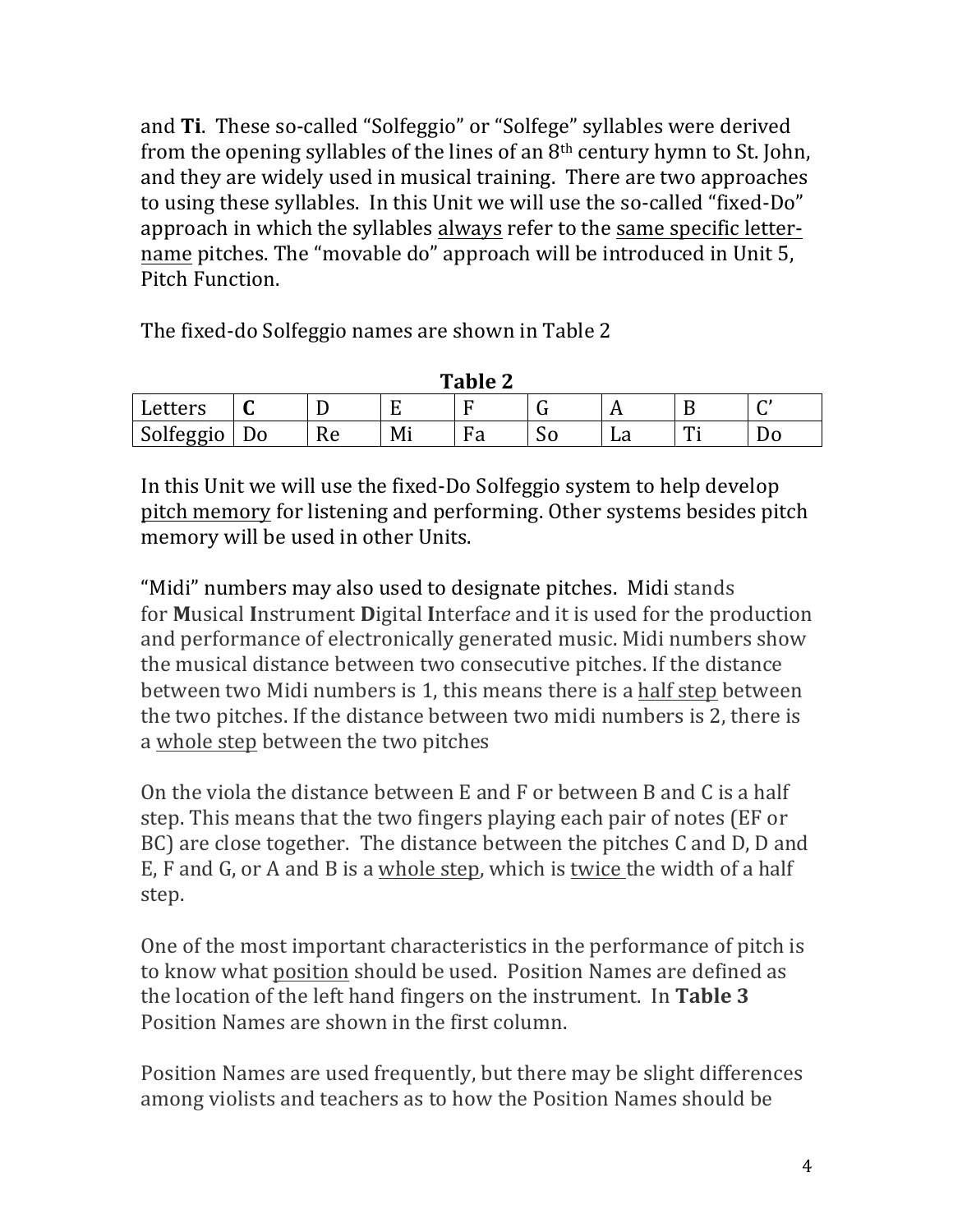and **Ti**. These so-called "Solfeggio" or "Solfege" syllables were derived from the opening syllables of the lines of an  $8<sup>th</sup>$  century hymn to St. John, and they are widely used in musical training. There are two approaches to using these syllables. In this Unit we will use the so-called "fixed-Do" approach in which the syllables always refer to the same specific lettername pitches. The "movable do" approach will be introduced in Unit 5, Pitch Function.

The fixed-do Solfeggio names are shown in Table 2

| Table 2   |   |                           |          |                        |    |                  |    |             |
|-----------|---|---------------------------|----------|------------------------|----|------------------|----|-------------|
| Letters   | ີ |                           | −<br>. . | −                      | ີ  | **               |    | $\sim$<br>◡ |
| Solfeggio |   | $R_{\Omega}$<br>$\bf{AC}$ | Mi       | ᠇<br>ня<br>$\mathbf u$ | υv | $\sqrt{2}$<br>Γđ | m, |             |

**Table** 

In this Unit we will use the fixed-Do Solfeggio system to help develop pitch memory for listening and performing. Other systems besides pitch memory will be used in other Units.

"Midi" numbers may also used to designate pitches. Midi stands for **Musical Instrument Digital Interface and it is used for the production** and performance of electronically generated music. Midi numbers show the musical distance between two consecutive pitches. If the distance between two Midi numbers is 1, this means there is a half step between the two pitches. If the distance between two midi numbers is 2, there is a whole step between the two pitches

On the viola the distance between  $E$  and  $F$  or between  $B$  and  $C$  is a half step. This means that the two fingers playing each pair of notes (EF or BC) are close together. The distance between the pitches C and D, D and E, F and G, or A and B is a whole step, which is twice the width of a half step. 

One of the most important characteristics in the performance of pitch is to know what position should be used. Position Names are defined as the location of the left hand fingers on the instrument. In Table 3 Position Names are shown in the first column.

Position Names are used frequently, but there may be slight differences among violists and teachers as to how the Position Names should be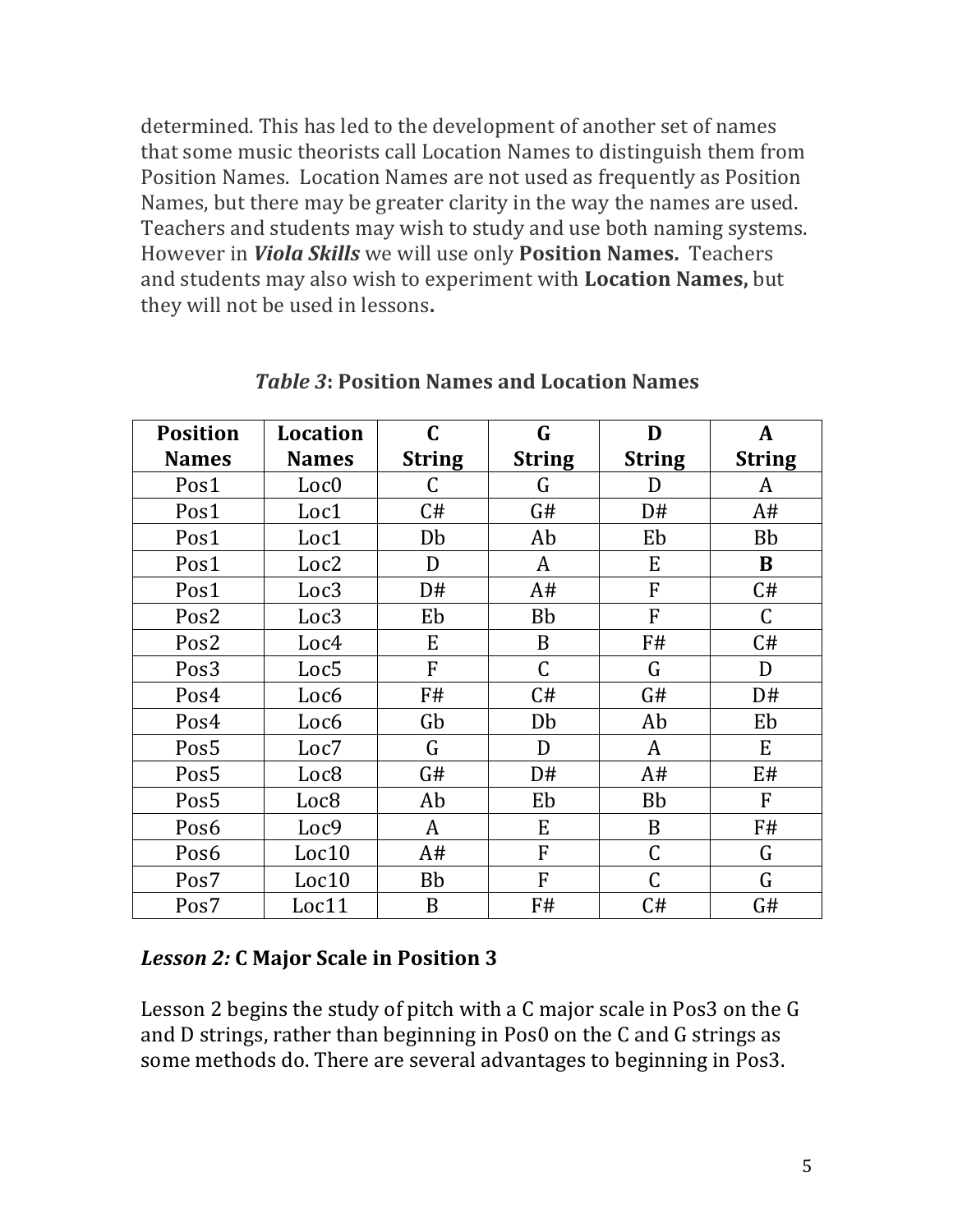determined. This has led to the development of another set of names that some music theorists call Location Names to distinguish them from Position Names. Location Names are not used as frequently as Position Names, but there may be greater clarity in the way the names are used. Teachers and students may wish to study and use both naming systems. However in *Viola Skills* we will use only Position Names. Teachers and students may also wish to experiment with **Location Names**, but they will not be used in lessons.

| <b>Position</b>  | Location         | C             | G             | D                | A             |
|------------------|------------------|---------------|---------------|------------------|---------------|
| <b>Names</b>     | <b>Names</b>     | <b>String</b> | <b>String</b> | <b>String</b>    | <b>String</b> |
| Pos1             | Loc <sub>0</sub> | C             | G             | D                | A             |
| Pos1             | Loc1             | C#            | G#            | D#               | A#            |
| Pos1             | Loc1             | Db            | Ab            | Eb               | <b>Bb</b>     |
| Pos1             | Loc <sub>2</sub> | D             | A             | E                | B             |
| Pos1             | Loc3             | D#            | A#            | F                | C#            |
| Pos <sub>2</sub> | Loc3             | Eb            | <b>Bb</b>     | F                | $\mathsf C$   |
| Pos2             | Loc4             | E             | B             | F#               | C#            |
| Pos <sub>3</sub> | Loc5             | F             | $\mathsf C$   | G                | D             |
| Pos4             | Loc <sub>6</sub> | F#            | C#            | G#               | D#            |
| Pos4             | Loc <sub>6</sub> | Gb            | Db            | Ab               | Eb            |
| Pos <sub>5</sub> | Loc7             | G             | D             | A                | E             |
| Pos <sub>5</sub> | Loc <sub>8</sub> | G#            | D#            | A#               | E#            |
| Pos <sub>5</sub> | Loc <sub>8</sub> | Ab            | Eb            | <b>Bb</b>        | F             |
| Pos <sub>6</sub> | Loc9             | A             | E             | $\boldsymbol{B}$ | F#            |
| Pos <sub>6</sub> | Loc10            | A#            | F             | $\mathcal{C}$    | G             |
| Pos <sub>7</sub> | Loc10            | <b>Bb</b>     | F             | C                | G             |
| Pos <sub>7</sub> | Loc11            | B             | F#            | C#               | G#            |

*Table 3***: Position Names and Location Names**

#### *Lesson 2:* **C Major Scale in Position 3**

Lesson 2 begins the study of pitch with a C major scale in Pos3 on the G and D strings, rather than beginning in Pos0 on the C and G strings as some methods do. There are several advantages to beginning in Pos3.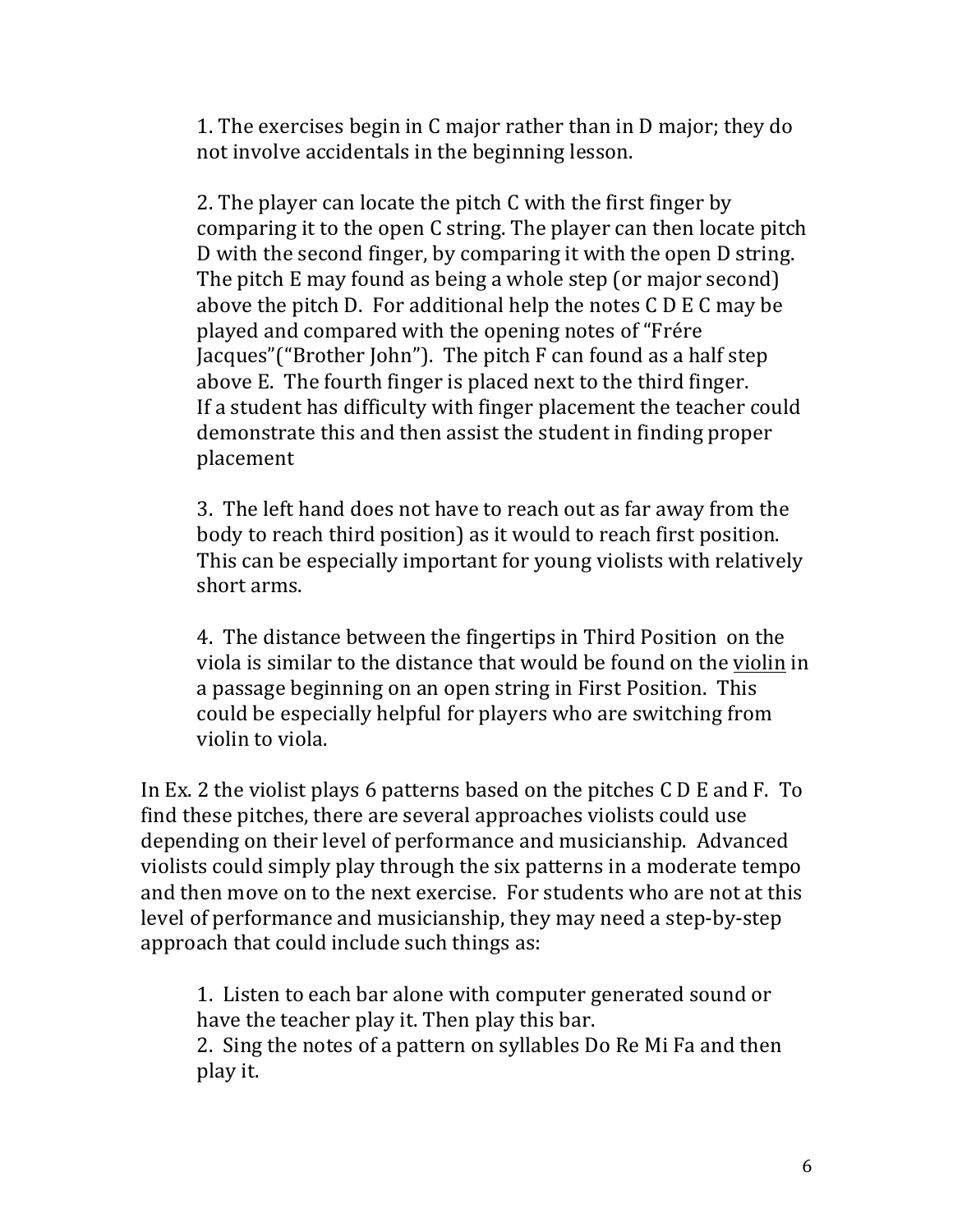1. The exercises begin in C major rather than in D major; they do not involve accidentals in the beginning lesson.

2. The player can locate the pitch C with the first finger by comparing it to the open C string. The player can then locate pitch D with the second finger, by comparing it with the open D string. The pitch E may found as being a whole step (or major second) above the pitch D. For additional help the notes  $C$  D E C may be played and compared with the opening notes of "Frére" Jacques"("Brother John"). The pitch F can found as a half step above E. The fourth finger is placed next to the third finger. If a student has difficulty with finger placement the teacher could demonstrate this and then assist the student in finding proper placement

3. The left hand does not have to reach out as far away from the body to reach third position) as it would to reach first position. This can be especially important for young violists with relatively short arms.

4. The distance between the fingertips in Third Position on the viola is similar to the distance that would be found on the violin in a passage beginning on an open string in First Position. This could be especially helpful for players who are switching from violin to viola.

In Ex. 2 the violist plays 6 patterns based on the pitches  $C$  D E and F. To find these pitches, there are several approaches violists could use depending on their level of performance and musicianship. Advanced violists could simply play through the six patterns in a moderate tempo and then move on to the next exercise. For students who are not at this level of performance and musicianship, they may need a step-by-step approach that could include such things as:

1. Listen to each bar alone with computer generated sound or have the teacher play it. Then play this bar.

2. Sing the notes of a pattern on syllables Do Re Mi Fa and then play it.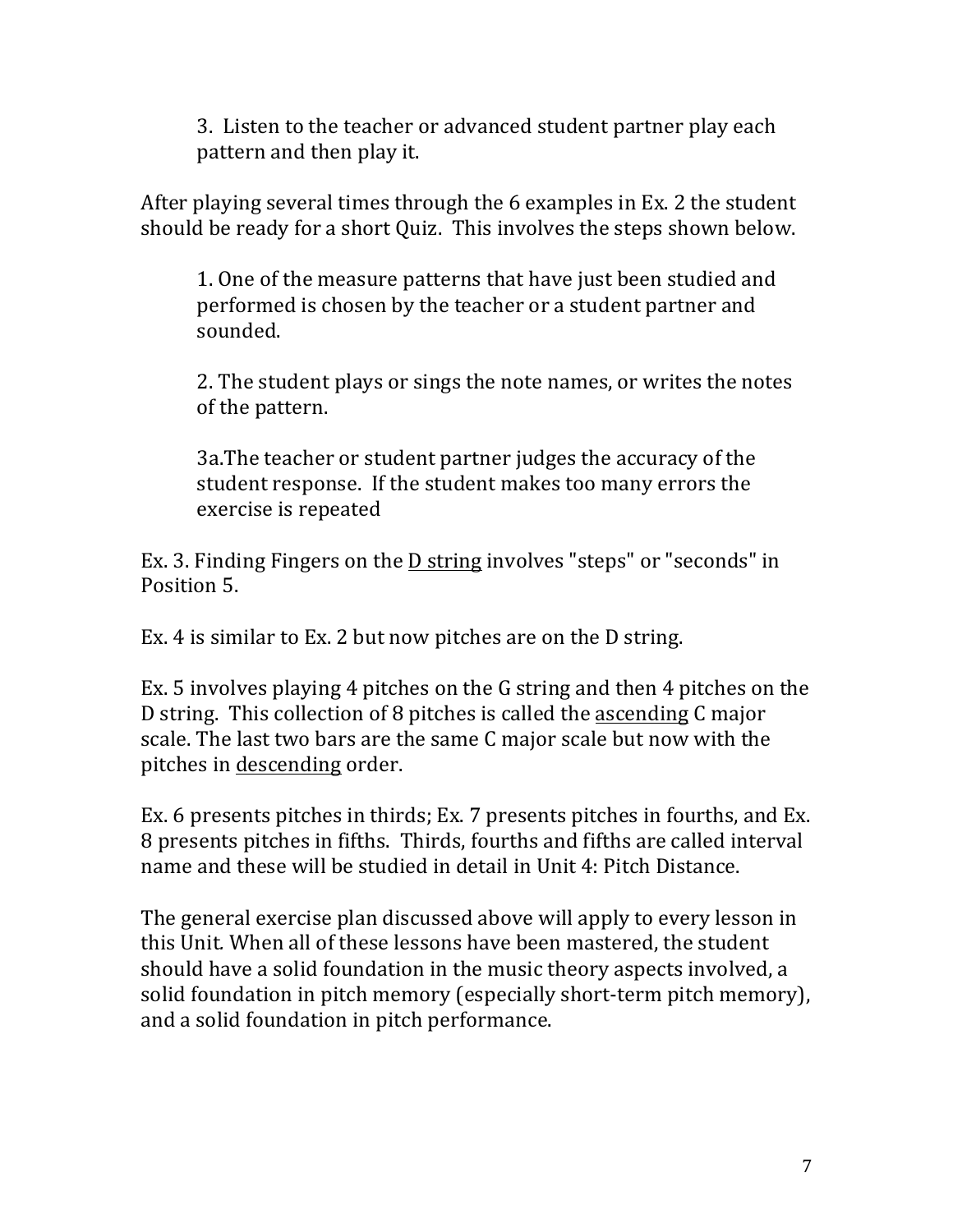3. Listen to the teacher or advanced student partner play each pattern and then play it.

After playing several times through the 6 examples in Ex. 2 the student should be ready for a short Quiz. This involves the steps shown below.

1. One of the measure patterns that have just been studied and performed is chosen by the teacher or a student partner and sounded.

2. The student plays or sings the note names, or writes the notes of the pattern.

3a. The teacher or student partner judges the accuracy of the student response. If the student makes too many errors the exercise is repeated

Ex. 3. Finding Fingers on the D string involves "steps" or "seconds" in Position 5.

Ex. 4 is similar to Ex. 2 but now pitches are on the D string.

Ex. 5 involves playing 4 pitches on the G string and then 4 pitches on the D string. This collection of 8 pitches is called the ascending C major scale. The last two bars are the same C major scale but now with the pitches in descending order.

Ex. 6 presents pitches in thirds; Ex. 7 presents pitches in fourths, and Ex. 8 presents pitches in fifths. Thirds, fourths and fifths are called interval name and these will be studied in detail in Unit 4: Pitch Distance.

The general exercise plan discussed above will apply to every lesson in this Unit. When all of these lessons have been mastered, the student should have a solid foundation in the music theory aspects involved, a solid foundation in pitch memory (especially short-term pitch memory), and a solid foundation in pitch performance.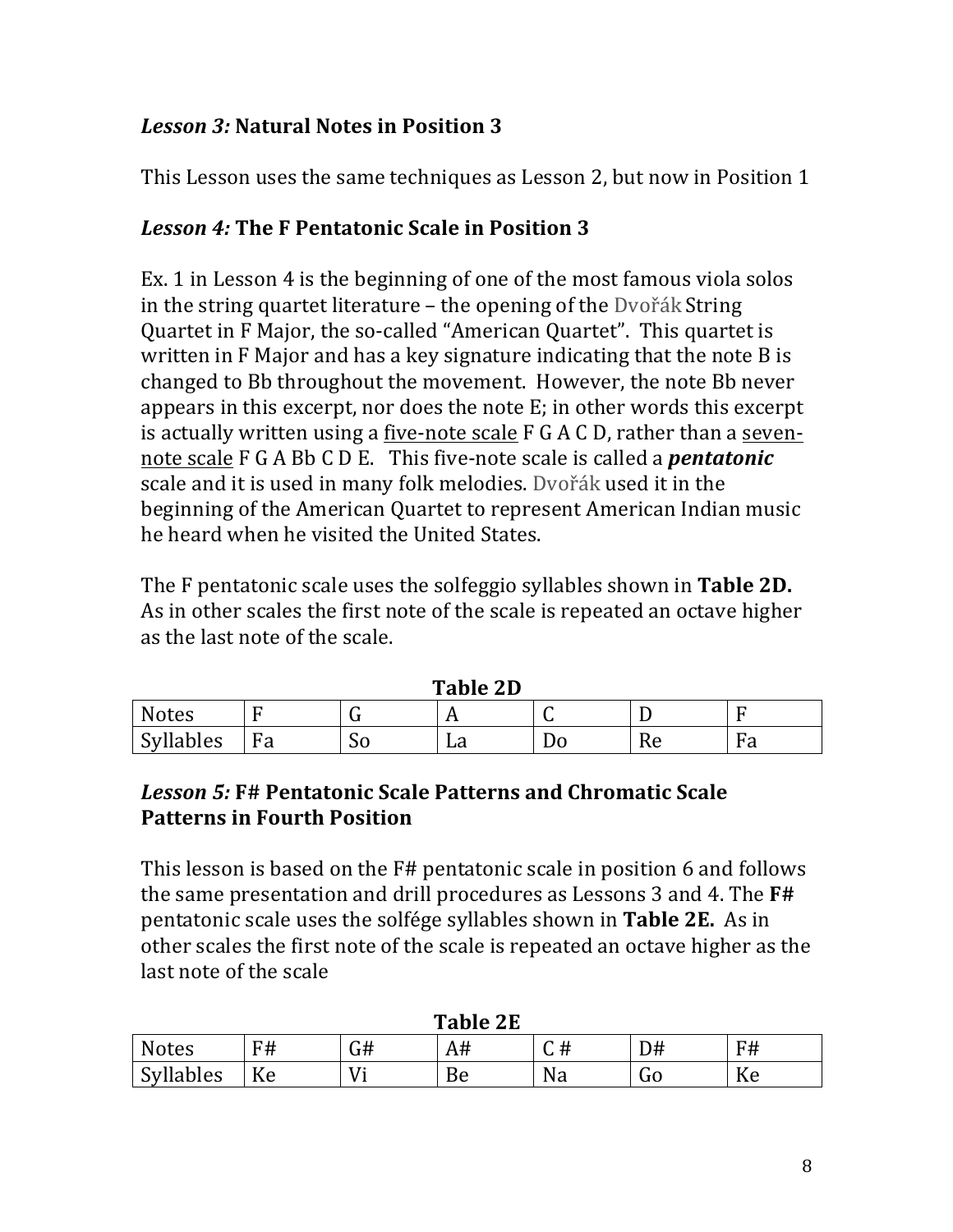# *Lesson 3:* **Natural Notes in Position 3**

This Lesson uses the same techniques as Lesson 2, but now in Position 1

### *Lesson 4:* **The F Pentatonic Scale in Position 3**

Ex. 1 in Lesson 4 is the beginning of one of the most famous viola solos in the string quartet literature  $-$  the opening of the Dvořák String Quartet in F Major, the so-called "American Quartet". This quartet is written in  $F$  Major and has a key signature indicating that the note  $B$  is changed to Bb throughout the movement. However, the note Bb never appears in this excerpt, nor does the note  $E$ ; in other words this excerpt is actually written using a five-note scale  $F$  G A C D, rather than a sevennote scale F G A Bb C D E. This five-note scale is called a *pentatonic* scale and it is used in many folk melodies. Dvořák used it in the beginning of the American Quartet to represent American Indian music he heard when he visited the United States.

The F pentatonic scale uses the solfeggio syllables shown in **Table 2D.** As in other scales the first note of the scale is repeated an octave higher as the last note of the scale.

| L'adie <i>LD</i> |           |    |     |     |       |     |  |  |  |
|------------------|-----------|----|-----|-----|-------|-----|--|--|--|
| <b>Notes</b>     |           |    | . . | . J |       |     |  |  |  |
| <b>Syllables</b> | нη<br>1 u | ບບ | La  | ◡   | 1 V V | 1 u |  |  |  |

 $T<sub>1</sub>$ ,  $T<sub>2</sub>$ ,  $T<sub>2</sub>$ 

# Lesson 5: F# Pentatonic Scale Patterns and Chromatic Scale

#### **Patterns** in Fourth Position

This lesson is based on the F# pentatonic scale in position 6 and follows the same presentation and drill procedures as Lessons 3 and 4. The **F#** pentatonic scale uses the solfége syllables shown in **Table 2E**. As in other scales the first note of the scale is repeated an octave higher as the last note of the scale

| I ADIE <i>l</i> e |    |             |    |    |    |    |  |  |  |
|-------------------|----|-------------|----|----|----|----|--|--|--|
| <b>Notes</b>      | F# | G#          | A# | ◡  |    | F# |  |  |  |
| <b>Syllables</b>  | ĸе | ' 7:<br>. . | Be | Na | ՄՕ | ĸe |  |  |  |

**Table** 2E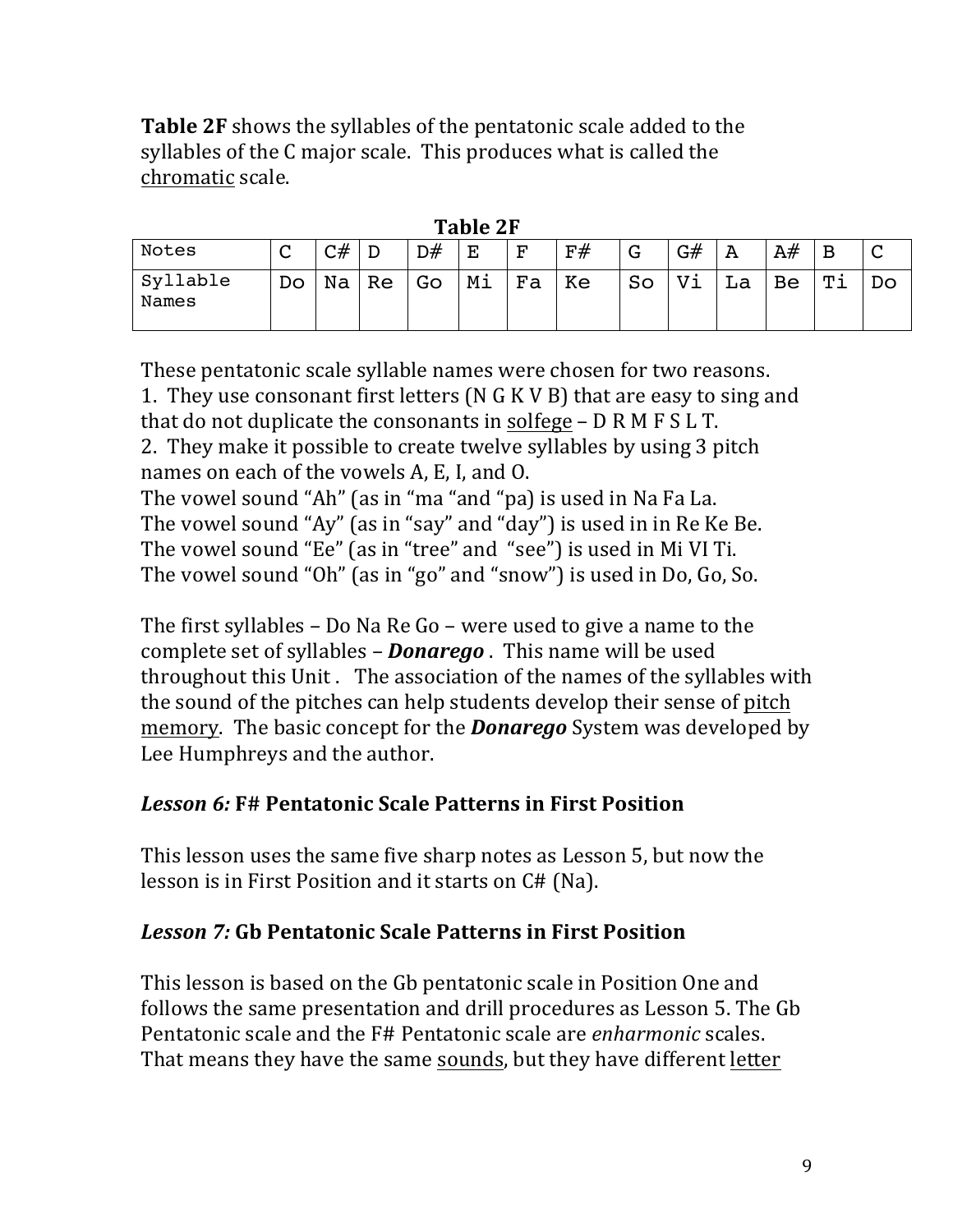**Table 2F** shows the syllables of the pentatonic scale added to the syllables of the C major scale. This produces what is called the chromatic scale. 

|                   |        |    |    |    | ------- |          |    |    |     |    |    |    |   |
|-------------------|--------|----|----|----|---------|----------|----|----|-----|----|----|----|---|
| Notes             | ⌒<br>֊ | r# |    | D# | Ε       | ਸ਼ਾ<br>- | F# | G  | G#  | A  | A# | в  | ֊ |
| Syllable<br>Names | Do     | Na | Re | Go | Мi      | Fa       | Ke | So | t7i | La | Be | mi |   |

**Table 2F**

These pentatonic scale syllable names were chosen for two reasons.

1. They use consonant first letters (N  $G$  K V B) that are easy to sing and that do not duplicate the consonants in solfege –  $D \, R \, M \, F \, S \, L \, T$ .

2. They make it possible to create twelve syllables by using 3 pitch names on each of the vowels A, E, I, and O.

The vowel sound "Ah" (as in "ma "and "pa) is used in Na Fa La. The vowel sound "Ay" (as in "say" and "day") is used in in Re Ke Be. The vowel sound "Ee" (as in "tree" and "see") is used in Mi VI Ti. The vowel sound "Oh" (as in "go" and "snow") is used in Do, Go, So.

The first syllables – Do Na Re Go – were used to give a name to the complete set of syllables – **Donarego** . This name will be used throughout this Unit. The association of the names of the syllables with the sound of the pitches can help students develop their sense of pitch memory. The basic concept for the **Donarego** System was developed by Lee Humphreys and the author.

# *Lesson 6:* **F# Pentatonic Scale Patterns in First Position**

This lesson uses the same five sharp notes as Lesson 5, but now the lesson is in First Position and it starts on C# (Na).

# *Lesson 7:* **Gb Pentatonic Scale Patterns in First Position**

This lesson is based on the Gb pentatonic scale in Position One and follows the same presentation and drill procedures as Lesson 5. The Gb Pentatonic scale and the F# Pentatonic scale are *enharmonic* scales. That means they have the same sounds, but they have different letter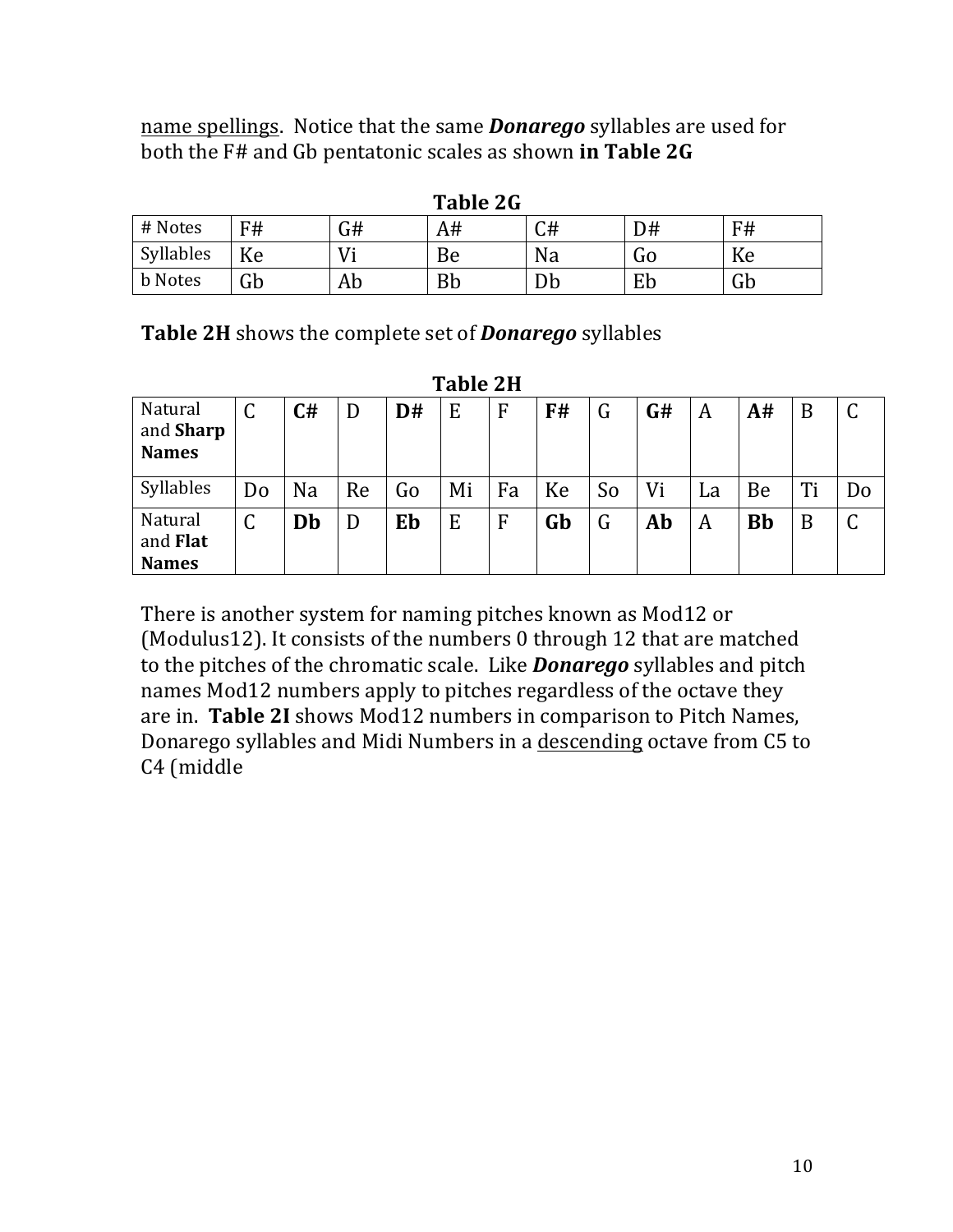name spellings. Notice that the same **Donarego** syllables are used for both the F# and Gb pentatonic scales as shown in Table 2G

| Table 2G       |    |    |    |           |    |    |  |  |
|----------------|----|----|----|-----------|----|----|--|--|
| # Notes        | F# | G# | A# | C#        | D# | F# |  |  |
| Syllables      | Ke |    | Be | <b>Na</b> | և0 | Ke |  |  |
| <b>b</b> Notes | Gb | Ab | Bb | Db        | Eb | Gb |  |  |

**Table 2H** shows the complete set of **Donarego** syllables

| <b>Table 2H</b>                      |               |    |    |    |    |    |    |    |    |    |           |    |    |
|--------------------------------------|---------------|----|----|----|----|----|----|----|----|----|-----------|----|----|
| Natural<br>and Sharp<br><b>Names</b> | $\mathcal{C}$ | C# | D  | D# | E  | F  | F# | G  | G# | A  | A#        | B  |    |
| Syllables                            | Do            | Na | Re | Go | Mi | Fa | Ke | So | Vi | La | Be        | Ti | Do |
| Natural<br>and Flat<br><b>Names</b>  | $\mathsf{C}$  | Db | D  | Eb | E  | F  | Gb | G  | Ab | A  | <b>Bb</b> | B  |    |

There is another system for naming pitches known as Mod12 or (Modulus12). It consists of the numbers  $0$  through 12 that are matched to the pitches of the chromatic scale. Like **Donarego** syllables and pitch names Mod12 numbers apply to pitches regardless of the octave they are in. Table 2I shows Mod12 numbers in comparison to Pitch Names, Donarego syllables and Midi Numbers in a descending octave from C5 to C4 (middle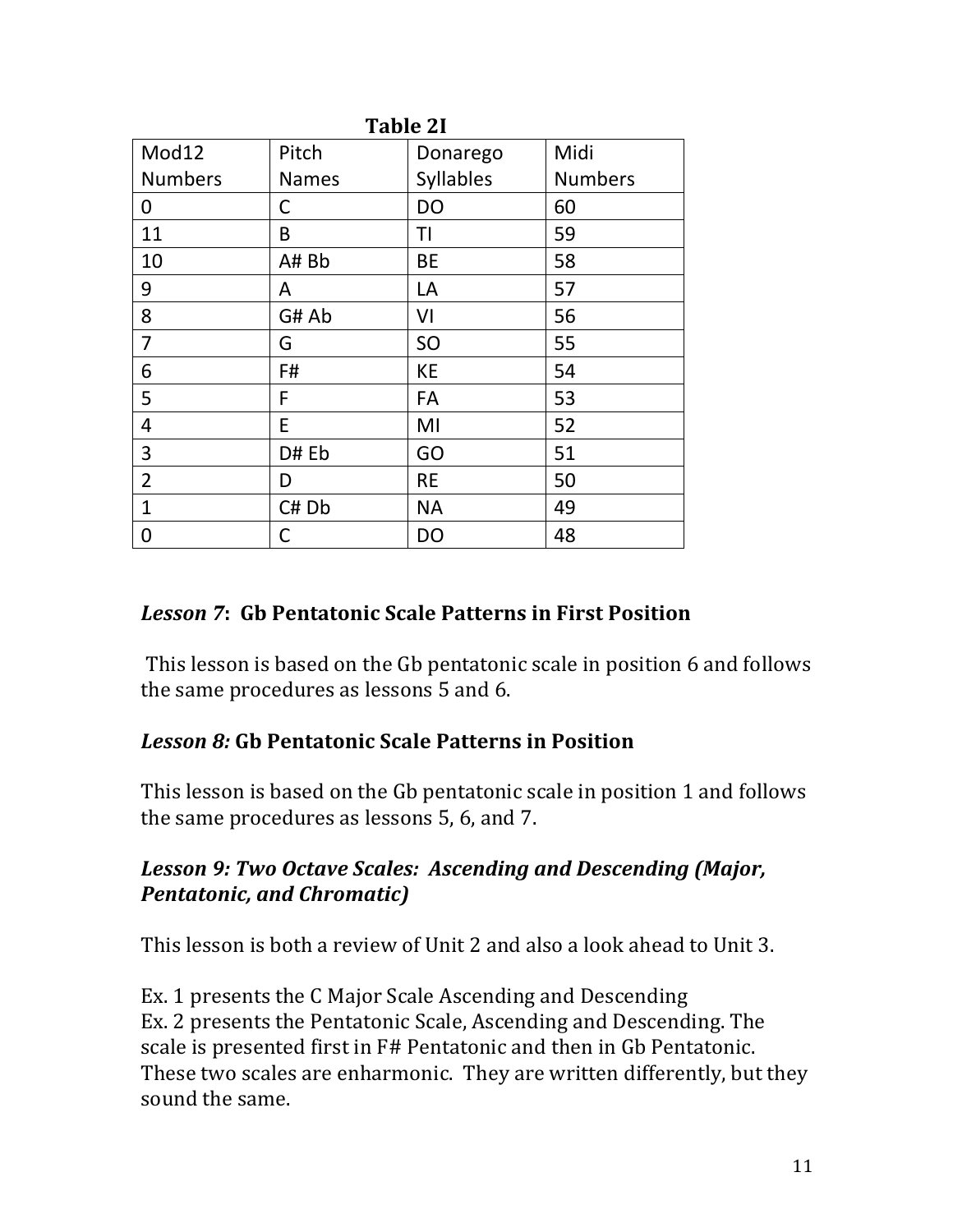| <b>Table 21</b> |              |           |                |  |  |  |  |  |
|-----------------|--------------|-----------|----------------|--|--|--|--|--|
| Mod12           | Pitch        | Donarego  | Midi           |  |  |  |  |  |
| <b>Numbers</b>  | <b>Names</b> | Syllables | <b>Numbers</b> |  |  |  |  |  |
| 0               | C            | <b>DO</b> | 60             |  |  |  |  |  |
| 11              | B            | ΤI        | 59             |  |  |  |  |  |
| 10              | A# Bb        | <b>BE</b> | 58             |  |  |  |  |  |
| 9               | A            | LA        | 57             |  |  |  |  |  |
| 8               | G# Ab        | VI        | 56             |  |  |  |  |  |
| $\overline{7}$  | G            | SO        | 55             |  |  |  |  |  |
| 6               | F#           | <b>KE</b> | 54             |  |  |  |  |  |
| 5               | F            | FA        | 53             |  |  |  |  |  |
| 4               | E            | MI        | 52             |  |  |  |  |  |
| 3               | D# Eb        | GO        | 51             |  |  |  |  |  |
| $\overline{2}$  | D            | <b>RE</b> | 50             |  |  |  |  |  |
| $\mathbf{1}$    | C# Db        | <b>NA</b> | 49             |  |  |  |  |  |
| 0               | C            | DO        | 48             |  |  |  |  |  |

# *Lesson* **7: Gb Pentatonic Scale Patterns in First Position**

This lesson is based on the Gb pentatonic scale in position 6 and follows the same procedures as lessons 5 and 6.

#### *Lesson 8:* **Gb Pentatonic Scale Patterns in Position**

This lesson is based on the Gb pentatonic scale in position 1 and follows the same procedures as lessons 5, 6, and 7.

#### *Lesson 9: Two Octave Scales: Ascending and Descending (Major,* **Pentatonic, and Chromatic)**

This lesson is both a review of Unit 2 and also a look ahead to Unit 3.

Ex. 1 presents the C Major Scale Ascending and Descending Ex. 2 presents the Pentatonic Scale, Ascending and Descending. The scale is presented first in F# Pentatonic and then in Gb Pentatonic. These two scales are enharmonic. They are written differently, but they sound the same.